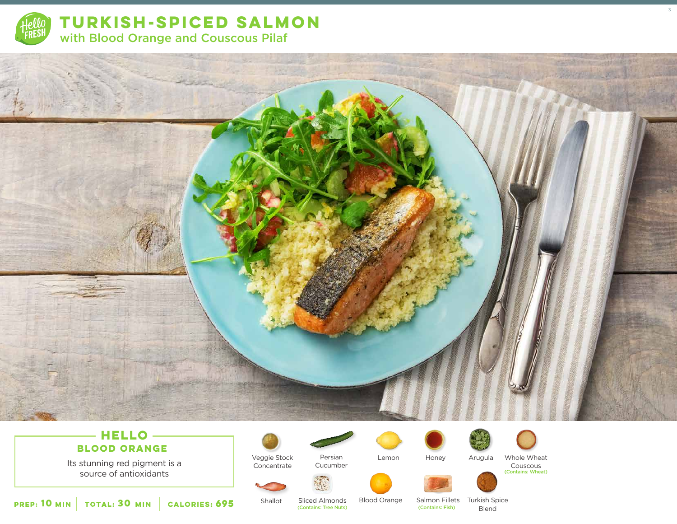

**TURKISH-SPICED SALMON**  with Blood Orange and Couscous Pilaf





source of antioxidants



Shallot

Veggie Stock Concentrate



Lemon





Honey Arugula Whole Wheat

Couscous (Contains: Wheat)

3

**10 30 MIN MIN CALORIES:695**

Sliced Almonds Blood Orange Salmon Fillets Turkish Spice<br>
(Contains: Tree Nuts) (Contains: Fish) Blend (Contains: Tree Nuts) (Contains: Fish) Blend